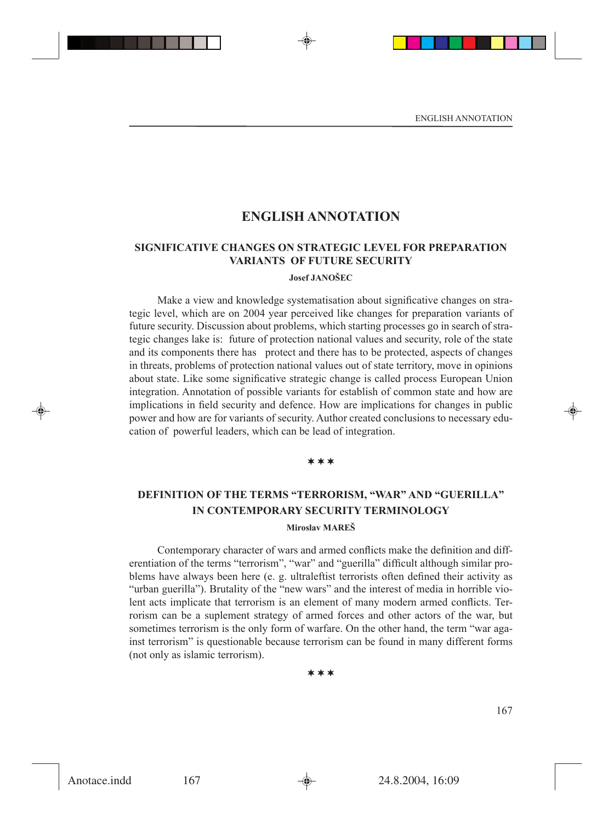# **ENGLISH ANNOTATION**

### **SIGNIFICATIVE CHANGES ON STRATEGIC LEVEL FOR PREPARATION VARIANTS OF FUTURE SECURITY**

### **Josef JANOŠEC**

Make a view and knowledge systematisation about significative changes on strategic level, which are on 2004 year perceived like changes for preparation variants of future security. Discussion about problems, which starting processes go in search of strategic changes lake is: future of protection national values and security, role of the state and its components there has protect and there has to be protected, aspects of changes in threats, problems of protection national values out of state territory, move in opinions about state. Like some significative strategic change is called process European Union integration. Annotation of possible variants for establish of common state and how are implications in field security and defence. How are implications for changes in public power and how are for variants of security. Author created conclusions to necessary education of powerful leaders, which can be lead of integration.

### $***$

# **DEFINITION OF THE TERMS "TERRORISM, "WAR" AND "GUERILLA" IN CONTEMPORARY SECURITY TERMINOLOGY Miroslav MAREŠ**

Contemporary character of wars and armed conflicts make the definition and differentiation of the terms "terrorism", "war" and "guerilla" difficult although similar problems have always been here (e. g. ultraleftist terrorists often defined their activity as "urban guerilla"). Brutality of the "new wars" and the interest of media in horrible violent acts implicate that terrorism is an element of many modern armed conflicts. Terrorism can be a suplement strategy of armed forces and other actors of the war, but sometimes terrorism is the only form of warfare. On the other hand, the term "war against terrorism" is questionable because terrorism can be found in many different forms (not only as islamic terrorism).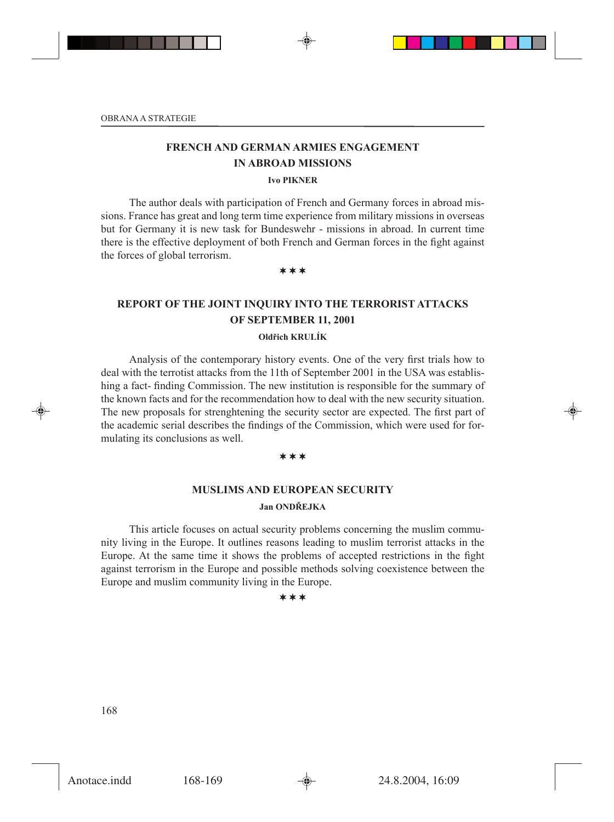# **FRENCH AND GERMAN ARMIES ENGAGEMENT IN ABROAD MISSIONS**

#### **Ivo PIKNER**

The author deals with participation of French and Germany forces in abroad missions. France has great and long term time experience from military missions in overseas but for Germany it is new task for Bundeswehr - missions in abroad. In current time there is the effective deployment of both French and German forces in the fight against the forces of global terrorism.

¬¬¬

# **REPORT OF THE JOINT INQUIRY INTO THE TERRORIST ATTACKS OF SEPTEMBER 11, 2001**

### **Oldřich KRULÍK**

Analysis of the contemporary history events. One of the very first trials how to deal with the terrotist attacks from the 11th of September 2001 in the USA was establishing a fact- finding Commission. The new institution is responsible for the summary of the known facts and for the recommendation how to deal with the new security situation. The new proposals for strenghtening the security sector are expected. The first part of the academic serial describes the findings of the Commission, which were used for formulating its conclusions as well.

### $***$

# **MUSLIMS AND EUROPEAN SECURITY Jan ONDŘEJKA**

This article focuses on actual security problems concerning the muslim community living in the Europe. It outlines reasons leading to muslim terrorist attacks in the Europe. At the same time it shows the problems of accepted restrictions in the fight against terrorism in the Europe and possible methods solving coexistence between the Europe and muslim community living in the Europe.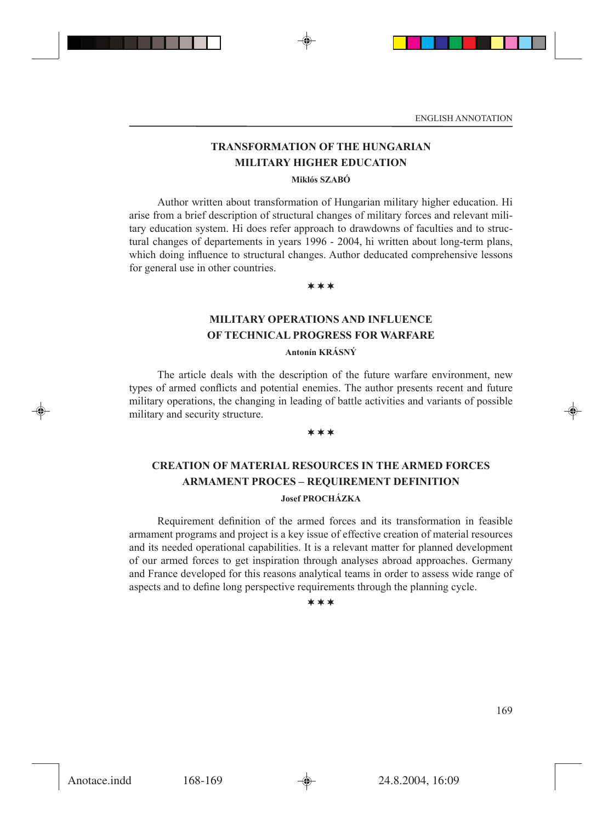# **TRANSFORMATION OF THE HUNGARIAN MILITARY HIGHER EDUCATION**

### **Miklós SZABÓ**

Author written about transformation of Hungarian military higher education. Hi arise from a brief description of structural changes of military forces and relevant military education system. Hi does refer approach to drawdowns of faculties and to structural changes of departements in years 1996 - 2004, hi written about long-term plans, which doing influence to structural changes. Author deducated comprehensive lessons for general use in other countries.

¬¬¬

# **MILITARY OPERATIONS AND INFLUENCE OF TECHNICAL PROGRESS FOR WARFARE**

### **Antonín KRÁSNÝ**

The article deals with the description of the future warfare environment, new types of armed conflicts and potential enemies. The author presents recent and future military operations, the changing in leading of battle activities and variants of possible military and security structure.

#### ¬¬¬

# **CREATION OF MATERIAL RESOURCES IN THE ARMED FORCES ARMAMENT PROCES – REQUIREMENT DEFINITION Josef PROCHÁZKA**

Requirement definition of the armed forces and its transformation in feasible armament programs and project is a key issue of effective creation of material resources and its needed operational capabilities. It is a relevant matter for planned development of our armed forces to get inspiration through analyses abroad approaches. Germany and France developed for this reasons analytical teams in order to assess wide range of aspects and to define long perspective requirements through the planning cycle.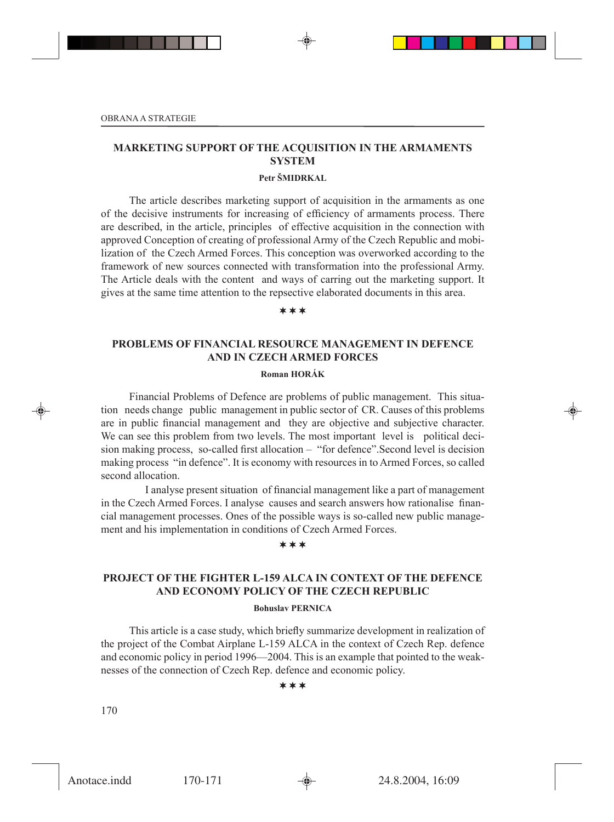### **MARKETING SUPPORT OF THE ACQUISITION IN THE ARMAMENTS SYSTEM**

### **Petr ŠMIDRKAL**

The article describes marketing support of acquisition in the armaments as one of the decisive instruments for increasing of efficiency of armaments process. There are described, in the article, principles of effective acquisition in the connection with approved Conception of creating of professional Army of the Czech Republic and mobilization of the Czech Armed Forces. This conception was overworked according to the framework of new sources connected with transformation into the professional Army. The Article deals with the content and ways of carring out the marketing support. It gives at the same time attention to the repsective elaborated documents in this area.

#### ¬¬¬

### **PROBLEMS OF FINANCIAL RESOURCE MANAGEMENT IN DEFENCE AND IN CZECH ARMED FORCES**

### **Roman HORÁK**

Financial Problems of Defence are problems of public management. This situation needs change public management in public sector of CR. Causes of this problems are in public financial management and they are objective and subjective character. We can see this problem from two levels. The most important level is political deci-sion making process, so-called first allocation  $-$  "for defence". Second level is decision making process "in defence". It is economy with resources in to Armed Forces, so called second allocation.

 I analyse present situation of nancial management like a part of management in the Czech Armed Forces. I analyse causes and search answers how rationalise financial management processes. Ones of the possible ways is so-called new public management and his implementation in conditions of Czech Armed Forces.

#### $***$

# **PROJECT OF THE FIGHTER L-159 ALCA IN CONTEXT OF THE DEFENCE AND ECONOMY POLICY OF THE CZECH REPUBLIC**

#### **Bohuslav PERNICA**

This article is a case study, which briefly summarize development in realization of the project of the Combat Airplane L-159 ALCA in the context of Czech Rep. defence and economic policy in period 1996—2004. This is an example that pointed to the weaknesses of the connection of Czech Rep. defence and economic policy.

#### $***$